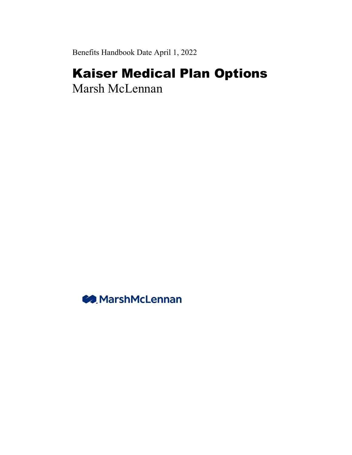Benefits Handbook Date April 1, 2022

# Kaiser Medical Plan Options

Marsh McLennan

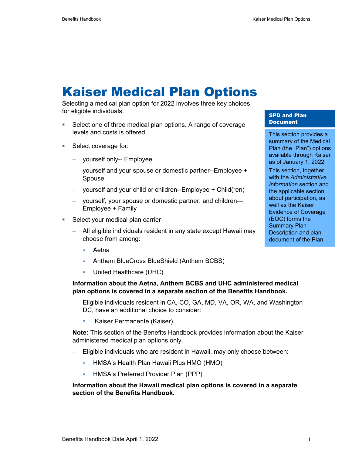# Kaiser Medical Plan Options

Selecting a medical plan option for 2022 involves three key choices for eligible individuals.

- Select one of three medical plan options. A range of coverage levels and costs is offered.
- **Select coverage for:** 
	- − yourself only-- Employee
	- − yourself and your spouse or domestic partner--Employee + Spouse
	- − yourself and your child or children--Employee + Child(ren)
	- − yourself, your spouse or domestic partner, and children— Employee + Family
- Select your medical plan carrier
	- − All eligible individuals resident in any state except Hawaii may choose from among:
		- Aetna
		- Anthem BlueCross BlueShield (Anthem BCBS)
		- □ United Healthcare (UHC)

### **Information about the Aetna, Anthem BCBS and UHC administered medical plan options is covered in a separate section of the Benefits Handbook.**

- Eligible individuals resident in CA, CO, GA, MD, VA, OR, WA, and Washington DC, have an additional choice to consider:
	- Kaiser Permanente (Kaiser)

**Note:** This section of the Benefits Handbook provides information about the Kaiser administered medical plan options only.

- − Eligible individuals who are resident in Hawaii, may only choose between:
	- HMSA's Health Plan Hawaii Plus HMO (HMO)
	- □ HMSA's Preferred Provider Plan (PPP)

### **Information about the Hawaii medical plan options is covered in a separate section of the Benefits Handbook.**

### SPD and Plan **Document**

This section provides a summary of the Medical Plan (the "Plan") options available through Kaiser as of January 1, 2022.

This section, together with the *Administrative Information* section and the applicable section about participation, as well as the Kaiser Evidence of Coverage (EOC) forms the Summary Plan Description and plan document of the Plan.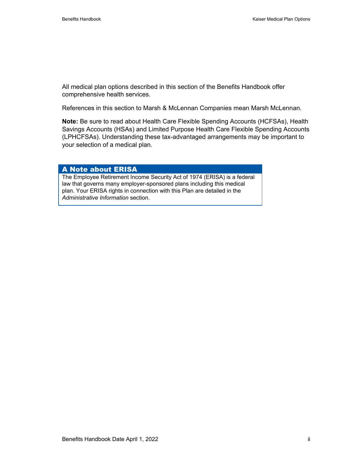All medical plan options described in this section of the Benefits Handbook offer comprehensive health services.

References in this section to Marsh & McLennan Companies mean Marsh McLennan.

**Note:** Be sure to read about Health Care Flexible Spending Accounts (HCFSAs), Health Savings Accounts (HSAs) and Limited Purpose Health Care Flexible Spending Accounts (LPHCFSAs). Understanding these tax-advantaged arrangements may be important to your selection of a medical plan.

### A Note about ERISA

The Employee Retirement Income Security Act of 1974 (ERISA) is a federal law that governs many employer-sponsored plans including this medical plan. Your ERISA rights in connection with this Plan are detailed in the *Administrative Information* section.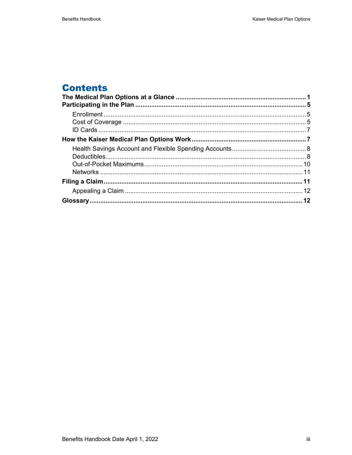# **Contents**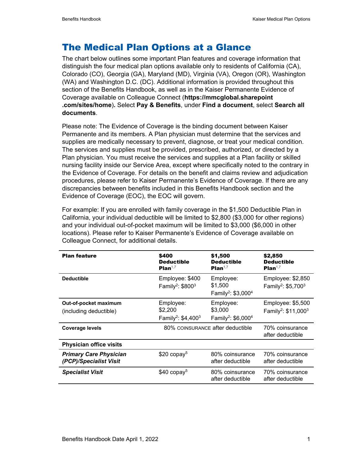# The Medical Plan Options at a Glance

The chart below outlines some important Plan features and coverage information that distinguish the four medical plan options available only to residents of California (CA), Colorado (CO), Georgia (GA), Maryland (MD), Virginia (VA), Oregon (OR), Washington (WA) and Washington D.C. (DC). Additional information is provided throughout this section of the Benefits Handbook, as well as in the Kaiser Permanente Evidence of Coverage available on Colleague Connect (**https://mmcglobal.sharepoint .com/sites/home**)**.** Select **Pay & Benefits**, under **Find a document**, select **Search all documents**.

Please note: The Evidence of Coverage is the binding document between Kaiser Permanente and its members. A Plan physician must determine that the services and supplies are medically necessary to prevent, diagnose, or treat your medical condition. The services and supplies must be provided, prescribed, authorized, or directed by a Plan physician. You must receive the services and supplies at a Plan facility or skilled nursing facility inside our Service Area, except where specifically noted to the contrary in the Evidence of Coverage. For details on the benefit and claims review and adjudication procedures, please refer to Kaiser Permanente's Evidence of Coverage. If there are any discrepancies between benefits included in this Benefits Handbook section and the Evidence of Coverage (EOC), the EOC will govern.

For example: If you are enrolled with family coverage in the \$1,500 Deductible Plan in California, your individual deductible will be limited to \$2,800 (\$3,000 for other regions) and your individual out-of-pocket maximum will be limited to \$3,000 (\$6,000 in other locations). Please refer to Kaiser Permanente's Evidence of Coverage available on Colleague Connect, for additional details.

| <b>Plan feature</b>                                     | \$400<br><b>Deductible</b><br>Plan <sup>1,7</sup>           | \$1,500<br><b>Deductible</b><br>Plan <sup>1,7</sup>                | \$2,850<br><b>Deductible</b><br>Plan <sup>1,7</sup>              |
|---------------------------------------------------------|-------------------------------------------------------------|--------------------------------------------------------------------|------------------------------------------------------------------|
| <b>Deductible</b>                                       | Employee: \$400<br>Family <sup>2</sup> : \$800 <sup>3</sup> | Employee:<br>\$1,500<br>Family <sup>2</sup> : \$3,000 <sup>4</sup> | Employee: \$2,850<br>Family <sup>2</sup> : \$5,700 <sup>3</sup>  |
| Out-of-pocket maximum<br>(including deductible)         | Employee:<br>\$2,200<br>Family <sup>2</sup> : $$4,400^3$    | Employee:<br>\$3,000<br>Family <sup>2</sup> : $$6,0004$            | Employee: \$5,500<br>Family <sup>2</sup> : \$11,000 <sup>3</sup> |
| <b>Coverage levels</b>                                  | 80% COINSURANCE after deductible                            |                                                                    | 70% coinsurance<br>after deductible                              |
| <b>Physician office visits</b>                          |                                                             |                                                                    |                                                                  |
| <b>Primary Care Physician</b><br>(PCP)/Specialist Visit | $$20$ copay <sup>5</sup>                                    | 80% coinsurance<br>after deductible                                | 70% coinsurance<br>after deductible                              |
| <b>Specialist Visit</b>                                 | $$40$ copay <sup>5</sup>                                    | 80% coinsurance<br>after deductible                                | 70% coinsurance<br>after deductible                              |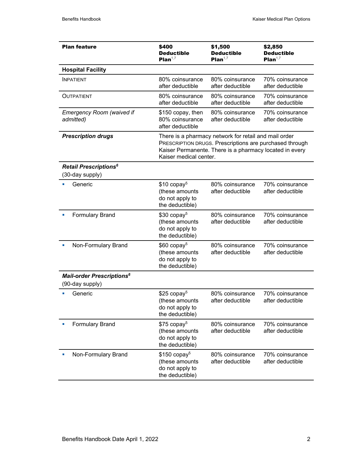| <b>Plan feature</b>                                            | \$400<br><b>Deductible</b><br>Plan <sup>1,7</sup>                                 | \$1,500<br><b>Deductible</b><br>Plan <sup>1,7</sup>                                                                                                                         | \$2,850<br><b>Deductible</b><br>Plan <sup>1,7</sup> |
|----------------------------------------------------------------|-----------------------------------------------------------------------------------|-----------------------------------------------------------------------------------------------------------------------------------------------------------------------------|-----------------------------------------------------|
| <b>Hospital Facility</b>                                       |                                                                                   |                                                                                                                                                                             |                                                     |
| <b>INPATIENT</b>                                               | 80% coinsurance<br>after deductible                                               | 80% coinsurance<br>after deductible                                                                                                                                         | 70% coinsurance<br>after deductible                 |
| <b>OUTPATIENT</b>                                              | 80% coinsurance<br>after deductible                                               | 80% coinsurance<br>after deductible                                                                                                                                         | 70% coinsurance<br>after deductible                 |
| <b>Emergency Room (waived if</b><br>admitted)                  | \$150 copay, then<br>80% coinsurance<br>after deductible                          | 80% coinsurance<br>after deductible                                                                                                                                         | 70% coinsurance<br>after deductible                 |
| <b>Prescription drugs</b>                                      | Kaiser medical center.                                                            | There is a pharmacy network for retail and mail order<br>PRESCRIPTION DRUGS. Prescriptions are purchased through<br>Kaiser Permanente. There is a pharmacy located in every |                                                     |
| Retail Prescriptions <sup>6</sup>                              |                                                                                   |                                                                                                                                                                             |                                                     |
| (30-day supply)                                                |                                                                                   |                                                                                                                                                                             |                                                     |
| Generic                                                        | $$10$ copay <sup>5</sup><br>(these amounts<br>do not apply to<br>the deductible)  | 80% coinsurance<br>after deductible                                                                                                                                         | 70% coinsurance<br>after deductible                 |
| <b>Formulary Brand</b>                                         | $$30$ copay <sup>5</sup><br>(these amounts<br>do not apply to<br>the deductible)  | 80% coinsurance<br>after deductible                                                                                                                                         | 70% coinsurance<br>after deductible                 |
| Non-Formulary Brand                                            | $$60$ copay <sup>5</sup><br>(these amounts<br>do not apply to<br>the deductible)  | 80% coinsurance<br>after deductible                                                                                                                                         | 70% coinsurance<br>after deductible                 |
| <b>Mail-order Prescriptions<sup>6</sup></b><br>(90-day supply) |                                                                                   |                                                                                                                                                                             |                                                     |
| Generic                                                        | $$25$ copay <sup>5</sup><br>(these amounts<br>do not apply to<br>the deductible)  | 80% coinsurance<br>after deductible                                                                                                                                         | 70% coinsurance<br>after deductible                 |
| <b>Formulary Brand</b>                                         | $$75$ copay <sup>5</sup><br>(these amounts<br>do not apply to<br>the deductible)  | 80% coinsurance<br>after deductible                                                                                                                                         | 70% coinsurance<br>after deductible                 |
| Non-Formulary Brand<br>o,                                      | $$150$ copay <sup>5</sup><br>(these amounts<br>do not apply to<br>the deductible) | 80% coinsurance<br>after deductible                                                                                                                                         | 70% coinsurance<br>after deductible                 |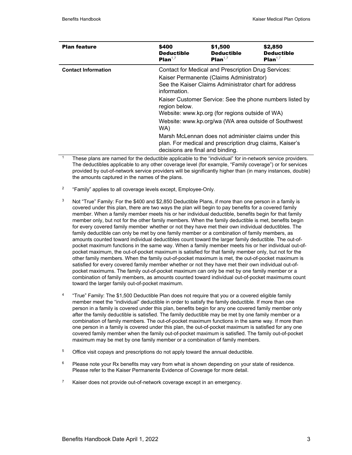| <b>Plan feature</b>        | \$400<br><b>Deductible</b><br>Plan <sup>1,7</sup>                                                                                                                        | \$1,500<br><b>Deductible</b><br>Plan <sup>1,7</sup>                                                                                                                 | \$2,850<br><b>Deductible</b><br>Plan <sup>1,7</sup> |
|----------------------------|--------------------------------------------------------------------------------------------------------------------------------------------------------------------------|---------------------------------------------------------------------------------------------------------------------------------------------------------------------|-----------------------------------------------------|
| <b>Contact Information</b> | Contact for Medical and Prescription Drug Services:<br>Kaiser Permanente (Claims Administrator)<br>See the Kaiser Claims Administrator chart for address<br>information. |                                                                                                                                                                     |                                                     |
|                            | region below.<br>WA)                                                                                                                                                     | Kaiser Customer Service: See the phone numbers listed by<br>Website: www.kp.org (for regions outside of WA)<br>Website: www.kp.org/wa (WA area outside of Southwest |                                                     |
|                            | decisions are final and binding.                                                                                                                                         | Marsh McLennan does not administer claims under this<br>plan. For medical and prescription drug claims, Kaiser's                                                    |                                                     |

These plans are named for the deductible applicable to the "individual" for in-network service providers. The deductibles applicable to any other coverage level (for example, "Family coverage") or for services provided by out-of-network service providers will be significantly higher than (in many instances, double) the amounts captured in the names of the plans.

- <sup>2</sup> "Family" applies to all coverage levels except, Employee-Only.
- $3$  Not "True" Family: For the \$400 and \$2,850 Deductible Plans, if more than one person in a family is covered under this plan, there are two ways the plan will begin to pay benefits for a covered family member. When a family member meets his or her individual deductible, benefits begin for that family member only, but not for the other family members. When the family deductible is met, benefits begin for every covered family member whether or not they have met their own individual deductibles. The family deductible can only be met by one family member or a combination of family members, as amounts counted toward individual deductibles count toward the larger family deductible. The out-ofpocket maximum functions in the same way. When a family member meets his or her individual out-ofpocket maximum, the out-of-pocket maximum is satisfied for that family member only, but not for the other family members. When the family out-of-pocket maximum is met, the out-of-pocket maximum is satisfied for every covered family member whether or not they have met their own individual out-ofpocket maximums. The family out-of-pocket maximum can only be met by one family member or a combination of family members, as amounts counted toward individual out-of-pocket maximums count toward the larger family out-of-pocket maximum.
- 4 "True" Family: The \$1,500 Deductible Plan does not require that you or a covered eligible family member meet the "individual" deductible in order to satisfy the family deductible. If more than one person in a family is covered under this plan, benefits begin for any one covered family member only after the family deductible is satisfied. The family deductible may be met by one family member or a combination of family members. The out-of-pocket maximum functions in the same way. If more than one person in a family is covered under this plan, the out-of-pocket maximum is satisfied for any one covered family member when the family out-of-pocket maximum is satisfied. The family out-of-pocket maximum may be met by one family member or a combination of family members.
- $5$  Office visit copays and prescriptions do not apply toward the annual deductible.
- $6$  Please note your Rx benefits may vary from what is shown depending on your state of residence. Please refer to the Kaiser Permanente Evidence of Coverage for more detail.
- <sup>7</sup> Kaiser does not provide out-of-network coverage except in an emergency.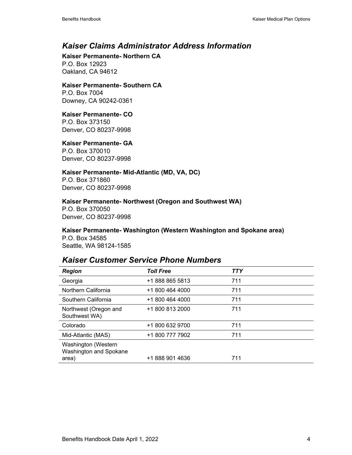### *Kaiser Claims Administrator Address Information*

**Kaiser Permanente- Northern CA**  P.O. Box 12923 Oakland, CA 94612

### **Kaiser Permanente- Southern CA**

P.O. Box 7004 Downey, CA 90242-0361

### **Kaiser Permanente- CO**

P.O. Box 373150 Denver, CO 80237-9998

### **Kaiser Permanente- GA**

P.O. Box 370010 Denver, CO 80237-9998

### **Kaiser Permanente- Mid-Atlantic (MD, VA, DC)**

P.O. Box 371860 Denver, CO 80237-9998

### **Kaiser Permanente- Northwest (Oregon and Southwest WA)**

P.O. Box 370050 Denver, CO 80237-9998

### **Kaiser Permanente- Washington (Western Washington and Spokane area)**  P.O. Box 34585

Seattle, WA 98124-1585

### *Kaiser Customer Service Phone Numbers*

| <b>Region</b>                                 | <b>Toll Free</b> | <b>TTY</b> |
|-----------------------------------------------|------------------|------------|
| Georgia                                       | +1 888 865 5813  | 711        |
| Northern California                           | +1 800 464 4000  | 711        |
| Southern California                           | +1 800 464 4000  | 711        |
| Northwest (Oregon and<br>Southwest WA)        | +1 800 813 2000  | 711        |
| Colorado                                      | +1 800 632 9700  | 711        |
| Mid-Atlantic (MAS)                            | +1 800 777 7902  | 711        |
| Washington (Western<br>Washington and Spokane |                  |            |
| area)                                         | +1 888 901 4636  | 711        |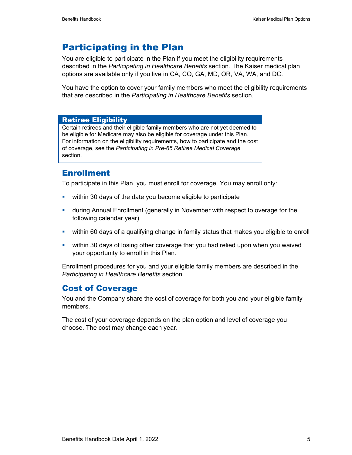# Participating in the Plan

You are eligible to participate in the Plan if you meet the eligibility requirements described in the *Participating in Healthcare Benefits* section. The Kaiser medical plan options are available only if you live in CA, CO, GA, MD, OR, VA, WA, and DC.

You have the option to cover your family members who meet the eligibility requirements that are described in the *Participating in Healthcare Benefits* section.

### Retiree Eligibility

Certain retirees and their eligible family members who are not yet deemed to be eligible for Medicare may also be eligible for coverage under this Plan. For information on the eligibility requirements, how to participate and the cost of coverage, see the *Participating in Pre-65 Retiree Medical Coverage* section.

### **Enrollment**

To participate in this Plan, you must enroll for coverage. You may enroll only:

- **•** within 30 days of the date you become eligible to participate
- during Annual Enrollment (generally in November with respect to overage for the following calendar year)
- within 60 days of a qualifying change in family status that makes you eligible to enroll
- within 30 days of losing other coverage that you had relied upon when you waived your opportunity to enroll in this Plan.

Enrollment procedures for you and your eligible family members are described in the *Participating in Healthcare Benefits* section.

### Cost of Coverage

You and the Company share the cost of coverage for both you and your eligible family members.

The cost of your coverage depends on the plan option and level of coverage you choose. The cost may change each year.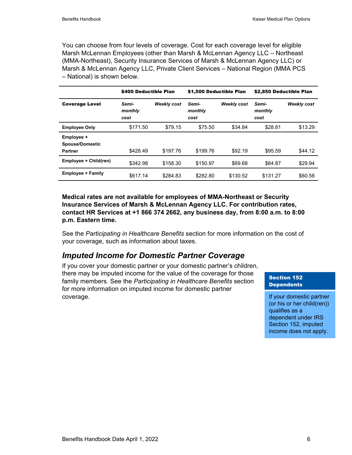You can choose from four levels of coverage. Cost for each coverage level for eligible Marsh McLennan Employees (other than Marsh & McLennan Agency LLC – Northeast (MMA-Northeast), Security Insurance Services of Marsh & McLennan Agency LLC) or Marsh & McLennan Agency LLC, Private Client Services – National Region (MMA PCS – National) is shown below.

|                                                 | \$400 Deductible Plan    |             | \$1,500 Deductible Plan  |             | \$2,850 Deductible Plan  |                    |
|-------------------------------------------------|--------------------------|-------------|--------------------------|-------------|--------------------------|--------------------|
| <b>Coverage Level</b>                           | Semi-<br>monthly<br>cost | Weekly cost | Semi-<br>monthly<br>cost | Weekly cost | Semi-<br>monthly<br>cost | <b>Weekly cost</b> |
| <b>Employee Only</b>                            | \$171.50                 | \$79.15     | \$75.50                  | \$34.84     | \$28.81                  | \$13.29            |
| Employee +<br><b>Spouse/Domestic</b><br>Partner | \$428.49                 | \$197.76    | \$199.76                 | \$92.19     | \$95.59                  | \$44.12            |
| Employee + Child(ren)                           | \$342.98                 | \$158.30    | \$150.97                 | \$69.68     | \$64.87                  | \$29.94            |
| <b>Employee + Family</b>                        | \$617.14                 | \$284.83    | \$282.80                 | \$130.52    | \$131.27                 | \$60.58            |

**Medical rates are not available for employees of MMA-Northeast or Security Insurance Services of Marsh & McLennan Agency LLC. For contribution rates, contact HR Services at +1 866 374 2662, any business day, from 8:00 a.m. to 8:00 p.m. Eastern time.** 

See the *Participating in Healthcare Benefits* section for more information on the cost of your coverage, such as information about taxes.

### *Imputed Income for Domestic Partner Coverage*

If you cover your domestic partner or your domestic partner's children, there may be imputed income for the value of the coverage for those family members. See the *Participating in Healthcare Benefits* section for more information on imputed income for domestic partner coverage.

### Section 152 **Dependents**

If your domestic partner (or his or her child(ren)) qualifies as a dependent under IRS Section 152, imputed income does not apply.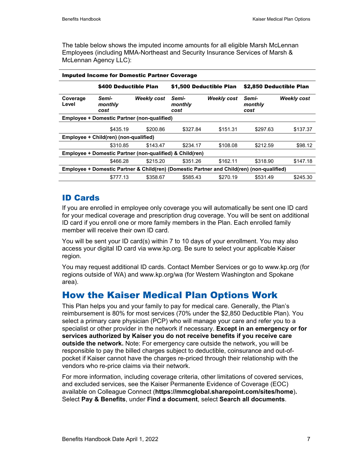The table below shows the imputed income amounts for all eligible Marsh McLennan Employees (including MMA-Northeast and Security Insurance Services of Marsh & McLennan Agency LLC):

|                   | <b>Imputed Income for Domestic Partner Coverage</b>                                       |                    |                          |                    |                          |                    |
|-------------------|-------------------------------------------------------------------------------------------|--------------------|--------------------------|--------------------|--------------------------|--------------------|
|                   | \$400 Deductible Plan                                                                     |                    | \$1,500 Deductible Plan  |                    | \$2,850 Deductible Plan  |                    |
| Coverage<br>Level | Semi-<br>monthly<br>cost                                                                  | <b>Weekly cost</b> | Semi-<br>monthly<br>cost | <b>Weekly cost</b> | Semi-<br>monthly<br>cost | <b>Weekly cost</b> |
|                   | <b>Employee + Domestic Partner (non-qualified)</b>                                        |                    |                          |                    |                          |                    |
|                   | \$435.19                                                                                  | \$200.86           | \$327.84                 | \$151.31           | \$297.63                 | \$137.37           |
|                   | Employee + Child(ren) (non-qualified)                                                     |                    |                          |                    |                          |                    |
|                   | \$310.85                                                                                  | \$143.47           | \$234.17                 | \$108.08           | \$212.59                 | \$98.12            |
|                   | Employee + Domestic Partner (non-qualified) & Child(ren)                                  |                    |                          |                    |                          |                    |
|                   | \$466.28                                                                                  | \$215.20           | \$351.26                 | \$162.11           | \$318.90                 | \$147.18           |
|                   | Employee + Domestic Partner & Child(ren) (Domestic Partner and Child(ren) (non-qualified) |                    |                          |                    |                          |                    |
|                   | \$777.13                                                                                  | \$358.67           | \$585.43                 | \$270.19           | \$531.49                 | \$245.30           |

### ID Cards

If you are enrolled in employee only coverage you will automatically be sent one ID card for your medical coverage and prescription drug coverage. You will be sent on additional ID card if you enroll one or more family members in the Plan. Each enrolled family member will receive their own ID card.

You will be sent your ID card(s) within 7 to 10 days of your enrollment. You may also access your digital ID card via www.kp.org. Be sure to select your applicable Kaiser region.

You may request additional ID cards. Contact Member Services or go to www.kp.org (for regions outside of WA) and www.kp.org/wa (for Western Washington and Spokane area).

# How the Kaiser Medical Plan Options Work

This Plan helps you and your family to pay for medical care. Generally, the Plan's reimbursement is 80% for most services (70% under the \$2,850 Deductible Plan). You select a primary care physician (PCP) who will manage your care and refer you to a specialist or other provider in the network if necessary. **Except in an emergency or for services authorized by Kaiser you do not receive benefits if you receive care outside the network.** Note: For emergency care outside the network, you will be responsible to pay the billed charges subject to deductible, coinsurance and out-ofpocket if Kaiser cannot have the charges re-priced through their relationship with the vendors who re-price claims via their network.

For more information, including coverage criteria, other limitations of covered services, and excluded services, see the Kaiser Permanente Evidence of Coverage (EOC) available on Colleague Connect (**https://mmcglobal.sharepoint.com/sites/home**)**.**  Select **Pay & Benefits**, under **Find a document**, select **Search all documents**.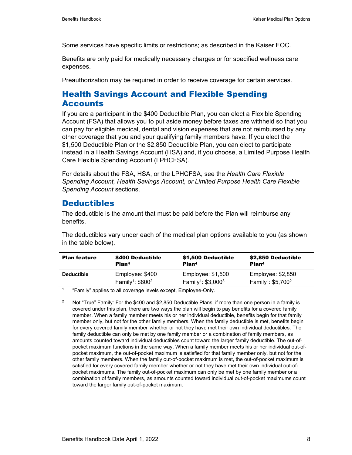Some services have specific limits or restrictions; as described in the Kaiser EOC.

Benefits are only paid for medically necessary charges or for specified wellness care expenses.

Preauthorization may be required in order to receive coverage for certain services.

### Health Savings Account and Flexible Spending **Accounts**

If you are a participant in the \$400 Deductible Plan, you can elect a Flexible Spending Account (FSA) that allows you to put aside money before taxes are withheld so that you can pay for eligible medical, dental and vision expenses that are not reimbursed by any other coverage that you and your qualifying family members have. If you elect the \$1,500 Deductible Plan or the \$2,850 Deductible Plan, you can elect to participate instead in a Health Savings Account (HSA) and, if you choose, a Limited Purpose Health Care Flexible Spending Account (LPHCFSA).

For details about the FSA, HSA, or the LPHCFSA, see the *Health Care Flexible Spending Account, Health Savings Account, or Limited Purpose Health Care Flexible Spending Account* sections.

### **Deductibles**

The deductible is the amount that must be paid before the Plan will reimburse any benefits.

The deductibles vary under each of the medical plan options available to you (as shown in the table below).

| <b>Plan feature</b> | \$400 Deductible               | \$1,500 Deductible               | \$2,850 Deductible                         |
|---------------------|--------------------------------|----------------------------------|--------------------------------------------|
|                     | Plan <sup>4</sup>              | Plan <sup>4</sup>                | Plan <sup>4</sup>                          |
| <b>Deductible</b>   | Employee: \$400                | Employee: $$1,500$               | Employee: \$2,850                          |
|                     | Family <sup>1</sup> : $$800^2$ | Family <sup>1</sup> : $$3,000^3$ | Family <sup>1</sup> : \$5,700 <sup>2</sup> |

1 "Family" applies to all coverage levels except, Employee-Only.

<sup>2</sup> Not "True" Family: For the \$400 and \$2,850 Deductible Plans, if more than one person in a family is covered under this plan, there are two ways the plan will begin to pay benefits for a covered family member. When a family member meets his or her individual deductible, benefits begin for that family member only, but not for the other family members. When the family deductible is met, benefits begin for every covered family member whether or not they have met their own individual deductibles. The family deductible can only be met by one family member or a combination of family members, as amounts counted toward individual deductibles count toward the larger family deductible. The out-ofpocket maximum functions in the same way. When a family member meets his or her individual out-ofpocket maximum, the out-of-pocket maximum is satisfied for that family member only, but not for the other family members. When the family out-of-pocket maximum is met, the out-of-pocket maximum is satisfied for every covered family member whether or not they have met their own individual out-ofpocket maximums. The family out-of-pocket maximum can only be met by one family member or a combination of family members, as amounts counted toward individual out-of-pocket maximums count toward the larger family out-of-pocket maximum.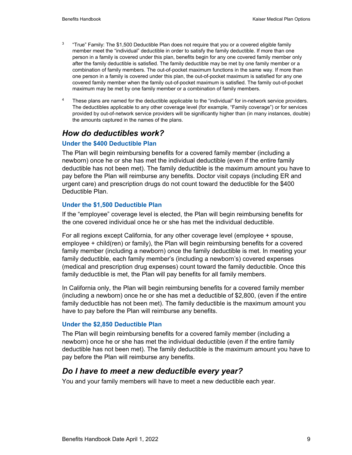- <sup>3</sup> "True" Family: The \$1,500 Deductible Plan does not require that you or a covered eligible family member meet the "individual" deductible in order to satisfy the family deductible. If more than one person in a family is covered under this plan, benefits begin for any one covered family member only after the family deductible is satisfied. The family deductible may be met by one family member or a combination of family members. The out-of-pocket maximum functions in the same way. If more than one person in a family is covered under this plan, the out-of-pocket maximum is satisfied for any one covered family member when the family out-of-pocket maximum is satisfied. The family out-of-pocket maximum may be met by one family member or a combination of family members.
- <sup>4</sup> These plans are named for the deductible applicable to the "individual" for in-network service providers. The deductibles applicable to any other coverage level (for example, "Family coverage") or for services provided by out-of-network service providers will be significantly higher than (in many instances, double) the amounts captured in the names of the plans.

### *How do deductibles work?*

### **Under the \$400 Deductible Plan**

The Plan will begin reimbursing benefits for a covered family member (including a newborn) once he or she has met the individual deductible (even if the entire family deductible has not been met). The family deductible is the maximum amount you have to pay before the Plan will reimburse any benefits. Doctor visit copays (including ER and urgent care) and prescription drugs do not count toward the deductible for the \$400 Deductible Plan.

### **Under the \$1,500 Deductible Plan**

If the "employee" coverage level is elected, the Plan will begin reimbursing benefits for the one covered individual once he or she has met the individual deductible.

For all regions except California, for any other coverage level (employee + spouse, employee + child(ren) or family), the Plan will begin reimbursing benefits for a covered family member (including a newborn) once the family deductible is met. In meeting your family deductible, each family member's (including a newborn's) covered expenses (medical and prescription drug expenses) count toward the family deductible. Once this family deductible is met, the Plan will pay benefits for all family members.

In California only, the Plan will begin reimbursing benefits for a covered family member (including a newborn) once he or she has met a deductible of \$2,800, (even if the entire family deductible has not been met). The family deductible is the maximum amount you have to pay before the Plan will reimburse any benefits.

### **Under the \$2,850 Deductible Plan**

The Plan will begin reimbursing benefits for a covered family member (including a newborn) once he or she has met the individual deductible (even if the entire family deductible has not been met). The family deductible is the maximum amount you have to pay before the Plan will reimburse any benefits.

### *Do I have to meet a new deductible every year?*

You and your family members will have to meet a new deductible each year.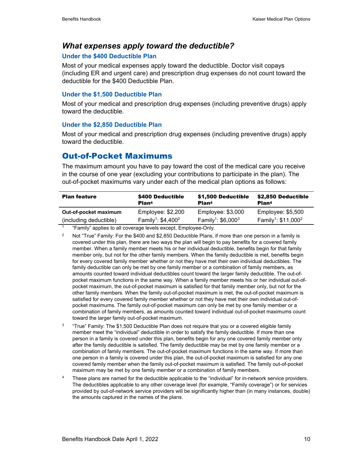### *What expenses apply toward the deductible?*

### **Under the \$400 Deductible Plan**

Most of your medical expenses apply toward the deductible. Doctor visit copays (including ER and urgent care) and prescription drug expenses do not count toward the deductible for the \$400 Deductible Plan.

### **Under the \$1,500 Deductible Plan**

Most of your medical and prescription drug expenses (including preventive drugs) apply toward the deductible.

### **Under the \$2,850 Deductible Plan**

Most of your medical and prescription drug expenses (including preventive drugs) apply toward the deductible.

### Out-of-Pocket Maximums

The maximum amount you have to pay toward the cost of the medical care you receive in the course of one year (excluding your contributions to participate in the plan). The out-of-pocket maximums vary under each of the medical plan options as follows:

| Employee: \$2,200<br>Employee: $$3,000$<br>Out-of-pocket maximum                                                                                        | Employee: \$5,500 |
|---------------------------------------------------------------------------------------------------------------------------------------------------------|-------------------|
| Family <sup>1</sup> : \$11,000 <sup>2</sup><br>Family <sup>1</sup> : $$6,000^3$<br>Family <sup>1</sup> : \$4,400 <sup>2</sup><br>(including deductible) |                   |
|                                                                                                                                                         |                   |

1 "Family" applies to all coverage levels except, Employee-Only.

<sup>2</sup> Not "True" Family: For the \$400 and \$2,850 Deductible Plans, if more than one person in a family is covered under this plan, there are two ways the plan will begin to pay benefits for a covered family member. When a family member meets his or her individual deductible, benefits begin for that family member only, but not for the other family members. When the family deductible is met, benefits begin for every covered family member whether or not they have met their own individual deductibles. The family deductible can only be met by one family member or a combination of family members, as amounts counted toward individual deductibles count toward the larger family deductible. The out-ofpocket maximum functions in the same way. When a family member meets his or her individual out-ofpocket maximum, the out-of-pocket maximum is satisfied for that family member only, but not for the other family members. When the family out-of-pocket maximum is met, the out-of-pocket maximum is satisfied for every covered family member whether or not they have met their own individual out-ofpocket maximums. The family out-of-pocket maximum can only be met by one family member or a combination of family members, as amounts counted toward individual out-of-pocket maximums count toward the larger family out-of-pocket maximum.

- $3$  "True" Family: The \$1,500 Deductible Plan does not require that you or a covered eligible family member meet the "individual" deductible in order to satisfy the family deductible. If more than one person in a family is covered under this plan, benefits begin for any one covered family member only after the family deductible is satisfied. The family deductible may be met by one family member or a combination of family members. The out-of-pocket maximum functions in the same way. If more than one person in a family is covered under this plan, the out-of-pocket maximum is satisfied for any one covered family member when the family out-of-pocket maximum is satisfied. The family out-of-pocket maximum may be met by one family member or a combination of family members.
- <sup>4</sup> These plans are named for the deductible applicable to the "individual" for in-network service providers. The deductibles applicable to any other coverage level (for example, "Family coverage") or for services provided by out-of-network service providers will be significantly higher than (in many instances, double) the amounts captured in the names of the plans.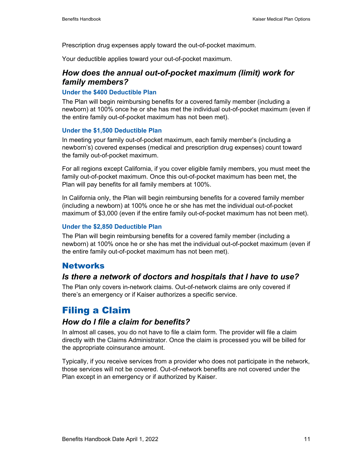Prescription drug expenses apply toward the out-of-pocket maximum.

Your deductible applies toward your out-of-pocket maximum.

### *How does the annual out-of-pocket maximum (limit) work for family members?*

### **Under the \$400 Deductible Plan**

The Plan will begin reimbursing benefits for a covered family member (including a newborn) at 100% once he or she has met the individual out-of-pocket maximum (even if the entire family out-of-pocket maximum has not been met).

### **Under the \$1,500 Deductible Plan**

In meeting your family out-of-pocket maximum, each family member's (including a newborn's) covered expenses (medical and prescription drug expenses) count toward the family out-of-pocket maximum.

For all regions except California, if you cover eligible family members, you must meet the family out-of-pocket maximum. Once this out-of-pocket maximum has been met, the Plan will pay benefits for all family members at 100%.

In California only, the Plan will begin reimbursing benefits for a covered family member (including a newborn) at 100% once he or she has met the individual out-of-pocket maximum of \$3,000 (even if the entire family out-of-pocket maximum has not been met).

### **Under the \$2,850 Deductible Plan**

The Plan will begin reimbursing benefits for a covered family member (including a newborn) at 100% once he or she has met the individual out-of-pocket maximum (even if the entire family out-of-pocket maximum has not been met).

### **Networks**

### *Is there a network of doctors and hospitals that I have to use?*

The Plan only covers in-network claims. Out-of-network claims are only covered if there's an emergency or if Kaiser authorizes a specific service.

# Filing a Claim

### *How do I file a claim for benefits?*

In almost all cases, you do not have to file a claim form. The provider will file a claim directly with the Claims Administrator. Once the claim is processed you will be billed for the appropriate coinsurance amount.

Typically, if you receive services from a provider who does not participate in the network, those services will not be covered. Out-of-network benefits are not covered under the Plan except in an emergency or if authorized by Kaiser.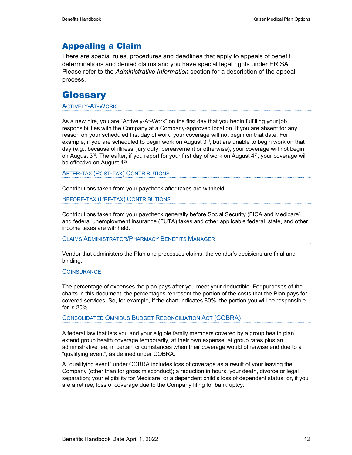## Appealing a Claim

There are special rules, procedures and deadlines that apply to appeals of benefit determinations and denied claims and you have special legal rights under ERISA. Please refer to the *Administrative Information* section for a description of the appeal process.

## **Glossary**

### ACTIVELY-AT-WORK

As a new hire, you are "Actively-At-Work" on the first day that you begin fulfilling your job responsibilities with the Company at a Company-approved location. If you are absent for any reason on your scheduled first day of work, your coverage will not begin on that date. For example, if you are scheduled to begin work on August 3<sup>rd</sup>, but are unable to begin work on that day (e.g., because of illness, jury duty, bereavement or otherwise), your coverage will not begin on August  $3<sup>rd</sup>$ . Thereafter, if you report for your first day of work on August  $4<sup>th</sup>$ , your coverage will be effective on August 4<sup>th</sup>.

AFTER-TAX (POST-TAX) CONTRIBUTIONS

Contributions taken from your paycheck after taxes are withheld.

BEFORE-TAX (PRE-TAX) CONTRIBUTIONS

Contributions taken from your paycheck generally before Social Security (FICA and Medicare) and federal unemployment insurance (FUTA) taxes and other applicable federal, state, and other income taxes are withheld.

CLAIMS ADMINISTRATOR/PHARMACY BENEFITS MANAGER

Vendor that administers the Plan and processes claims; the vendor's decisions are final and binding.

#### **COINSURANCE**

The percentage of expenses the plan pays after you meet your deductible. For purposes of the charts in this document, the percentages represent the portion of the costs that the Plan pays for covered services. So, for example, if the chart indicates 80%, the portion you will be responsible for is 20%.

CONSOLIDATED OMNIBUS BUDGET RECONCILIATION ACT (COBRA)

A federal law that lets you and your eligible family members covered by a group health plan extend group health coverage temporarily, at their own expense, at group rates plus an administrative fee, in certain circumstances when their coverage would otherwise end due to a "qualifying event", as defined under COBRA.

A "qualifying event" under COBRA includes loss of coverage as a result of your leaving the Company (other than for gross misconduct); a reduction in hours, your death, divorce or legal separation; your eligibility for Medicare, or a dependent child's loss of dependent status; or, if you are a retiree, loss of coverage due to the Company filing for bankruptcy.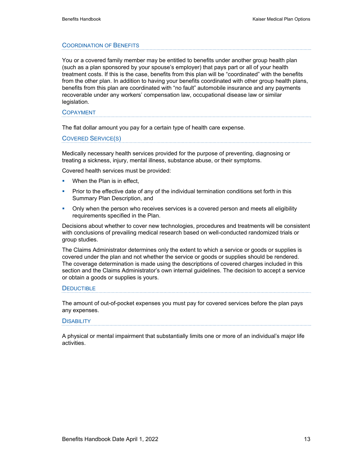#### COORDINATION OF BENEFITS

You or a covered family member may be entitled to benefits under another group health plan (such as a plan sponsored by your spouse's employer) that pays part or all of your health treatment costs. If this is the case, benefits from this plan will be "coordinated" with the benefits from the other plan. In addition to having your benefits coordinated with other group health plans, benefits from this plan are coordinated with "no fault" automobile insurance and any payments recoverable under any workers' compensation law, occupational disease law or similar legislation.

#### COPAYMENT

The flat dollar amount you pay for a certain type of health care expense.

COVERED SERVICE(S)

Medically necessary health services provided for the purpose of preventing, diagnosing or treating a sickness, injury, mental illness, substance abuse, or their symptoms.

Covered health services must be provided:

- **When the Plan is in effect.**
- **Prior to the effective date of any of the individual termination conditions set forth in this** Summary Plan Description, and
- **•** Only when the person who receives services is a covered person and meets all eligibility requirements specified in the Plan.

Decisions about whether to cover new technologies, procedures and treatments will be consistent with conclusions of prevailing medical research based on well-conducted randomized trials or group studies.

The Claims Administrator determines only the extent to which a service or goods or supplies is covered under the plan and not whether the service or goods or supplies should be rendered. The coverage determination is made using the descriptions of covered charges included in this section and the Claims Administrator's own internal guidelines. The decision to accept a service or obtain a goods or supplies is yours.

#### **DEDUCTIBLE**

The amount of out-of-pocket expenses you must pay for covered services before the plan pays any expenses.

#### **DISABILITY**

A physical or mental impairment that substantially limits one or more of an individual's major life activities.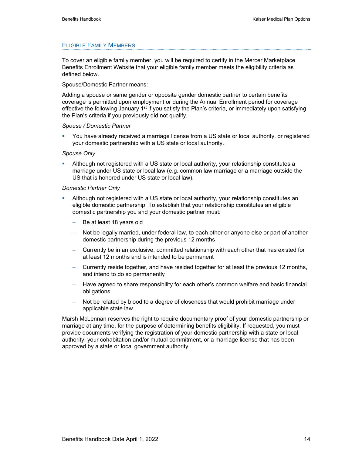#### ELIGIBLE FAMILY MEMBERS

To cover an eligible family member, you will be required to certify in the Mercer Marketplace Benefits Enrollment Website that your eligible family member meets the eligibility criteria as defined below.

#### Spouse/Domestic Partner means:

Adding a spouse or same gender or opposite gender domestic partner to certain benefits coverage is permitted upon employment or during the Annual Enrollment period for coverage effective the following January 1<sup>st</sup> if you satisfy the Plan's criteria, or immediately upon satisfying the Plan's criteria if you previously did not qualify.

#### *Spouse / Domestic Partner*

 You have already received a marriage license from a US state or local authority, or registered your domestic partnership with a US state or local authority.

### *Spouse Only*

 Although not registered with a US state or local authority, your relationship constitutes a marriage under US state or local law (e.g. common law marriage or a marriage outside the US that is honored under US state or local law).

#### *Domestic Partner Only*

- Although not registered with a US state or local authority, your relationship constitutes an eligible domestic partnership. To establish that your relationship constitutes an eligible domestic partnership you and your domestic partner must:
	- Be at least 18 years old
	- − Not be legally married, under federal law, to each other or anyone else or part of another domestic partnership during the previous 12 months
	- Currently be in an exclusive, committed relationship with each other that has existed for at least 12 months and is intended to be permanent
	- − Currently reside together, and have resided together for at least the previous 12 months, and intend to do so permanently
	- − Have agreed to share responsibility for each other's common welfare and basic financial obligations
	- Not be related by blood to a degree of closeness that would prohibit marriage under applicable state law.

Marsh McLennan reserves the right to require documentary proof of your domestic partnership or marriage at any time, for the purpose of determining benefits eligibility. If requested, you must provide documents verifying the registration of your domestic partnership with a state or local authority, your cohabitation and/or mutual commitment, or a marriage license that has been approved by a state or local government authority.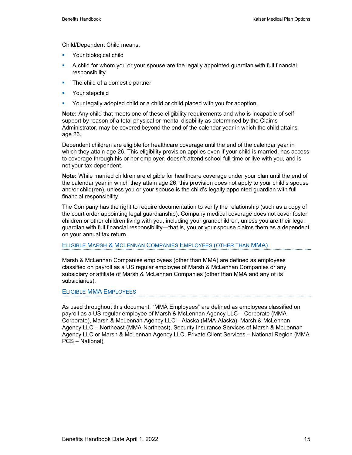Child/Dependent Child means:

- **Your biological child**
- A child for whom you or your spouse are the legally appointed guardian with full financial responsibility
- The child of a domestic partner
- **•** Your stepchild
- Your legally adopted child or a child or child placed with you for adoption.

**Note:** Any child that meets one of these eligibility requirements and who is incapable of self support by reason of a total physical or mental disability as determined by the Claims Administrator, may be covered beyond the end of the calendar year in which the child attains age 26.

Dependent children are eligible for healthcare coverage until the end of the calendar year in which they attain age 26. This eligibility provision applies even if your child is married, has access to coverage through his or her employer, doesn't attend school full-time or live with you, and is not your tax dependent.

**Note:** While married children are eligible for healthcare coverage under your plan until the end of the calendar year in which they attain age 26, this provision does not apply to your child's spouse and/or child(ren), unless you or your spouse is the child's legally appointed guardian with full financial responsibility.

The Company has the right to require documentation to verify the relationship (such as a copy of the court order appointing legal guardianship). Company medical coverage does not cover foster children or other children living with you, including your grandchildren, unless you are their legal guardian with full financial responsibility—that is, you or your spouse claims them as a dependent on your annual tax return.

#### ELIGIBLE MARSH & MCLENNAN COMPANIES EMPLOYEES (OTHER THAN MMA)

Marsh & McLennan Companies employees (other than MMA) are defined as employees classified on payroll as a US regular employee of Marsh & McLennan Companies or any subsidiary or affiliate of Marsh & McLennan Companies (other than MMA and any of its subsidiaries).

ELIGIBLE MMA EMPLOYEES

As used throughout this document, "MMA Employees" are defined as employees classified on payroll as a US regular employee of Marsh & McLennan Agency LLC – Corporate (MMA-Corporate), Marsh & McLennan Agency LLC – Alaska (MMA-Alaska), Marsh & McLennan Agency LLC – Northeast (MMA-Northeast), Security Insurance Services of Marsh & McLennan Agency LLC or Marsh & McLennan Agency LLC, Private Client Services – National Region (MMA PCS – National).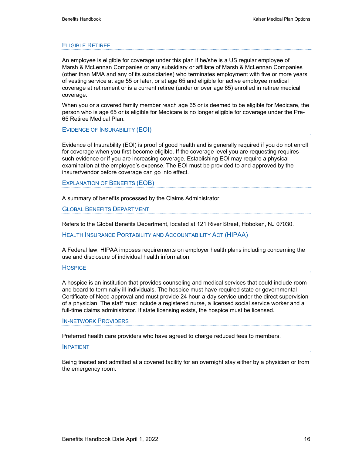#### ELIGIBLE RETIREE

An employee is eligible for coverage under this plan if he/she is a US regular employee of Marsh & McLennan Companies or any subsidiary or affiliate of Marsh & McLennan Companies (other than MMA and any of its subsidiaries) who terminates employment with five or more years of vesting service at age 55 or later, or at age 65 and eligible for active employee medical coverage at retirement or is a current retiree (under or over age 65) enrolled in retiree medical coverage.

When you or a covered family member reach age 65 or is deemed to be eligible for Medicare, the person who is age 65 or is eligible for Medicare is no longer eligible for coverage under the Pre-65 Retiree Medical Plan.

EVIDENCE OF INSURABILITY (EOI)

Evidence of Insurability (EOI) is proof of good health and is generally required if you do not enroll for coverage when you first become eligible. If the coverage level you are requesting requires such evidence or if you are increasing coverage. Establishing EOI may require a physical examination at the employee's expense. The EOI must be provided to and approved by the insurer/vendor before coverage can go into effect.

EXPLANATION OF BENEFITS (EOB)

A summary of benefits processed by the Claims Administrator.

GLOBAL BENEFITS DEPARTMENT

Refers to the Global Benefits Department, located at 121 River Street, Hoboken, NJ 07030.

HEALTH INSURANCE PORTABILITY AND ACCOUNTABILITY ACT (HIPAA)

A Federal law, HIPAA imposes requirements on employer health plans including concerning the use and disclosure of individual health information.

#### **HOSPICE**

A hospice is an institution that provides counseling and medical services that could include room and board to terminally ill individuals. The hospice must have required state or governmental Certificate of Need approval and must provide 24 hour-a-day service under the direct supervision of a physician. The staff must include a registered nurse, a licensed social service worker and a full-time claims administrator. If state licensing exists, the hospice must be licensed.

#### IN-NETWORK PROVIDERS

Preferred health care providers who have agreed to charge reduced fees to members.

#### INPATIENT

Being treated and admitted at a covered facility for an overnight stay either by a physician or from the emergency room.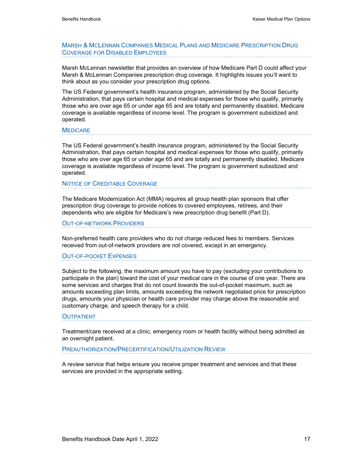### MARSH & MCLENNAN COMPANIES MEDICAL PLANS AND MEDICARE PRESCRIPTION DRUG COVERAGE FOR DISABLED EMPLOYEES

Marsh McLennan newsletter that provides an overview of how Medicare Part D could affect your Marsh & McLennan Companies prescription drug coverage. It highlights issues you'll want to think about as you consider your prescription drug options.

The US Federal government's health insurance program, administered by the Social Security Administration, that pays certain hospital and medical expenses for those who qualify, primarily those who are over age 65 or under age 65 and are totally and permanently disabled. Medicare coverage is available regardless of income level. The program is government subsidized and operated.

#### **MEDICARE**

The US Federal government's health insurance program, administered by the Social Security Administration, that pays certain hospital and medical expenses for those who qualify, primarily those who are over age 65 or under age 65 and are totally and permanently disabled. Medicare coverage is available regardless of income level. The program is government subsidized and operated.

#### NOTICE OF CREDITABLE COVERAGE

The Medicare Modernization Act (MMA) requires all group health plan sponsors that offer prescription drug coverage to provide notices to covered employees, retirees, and their dependents who are eligible for Medicare's new prescription drug benefit (Part D).

#### OUT-OF-NETWORK PROVIDERS

Non-preferred health care providers who do not charge reduced fees to members. Services received from out-of-network providers are not covered, except in an emergency.

#### OUT-OF-POCKET EXPENSES

Subject to the following, the maximum amount you have to pay (excluding your contributions to participate in the plan) toward the cost of your medical care in the course of one year. There are some services and charges that do not count towards the out-of-pocket maximum, such as amounts exceeding plan limits, amounts exceeding the network negotiated price for prescription drugs, amounts your physician or health care provider may charge above the reasonable and customary charge, and speech therapy for a child.

#### **OUTPATIENT**

Treatment/care received at a clinic, emergency room or health facility without being admitted as an overnight patient.

#### PREAUTHORIZATION/PRECERTIFICATION/UTILIZATION REVIEW

A review service that helps ensure you receive proper treatment and services and that these services are provided in the appropriate setting.